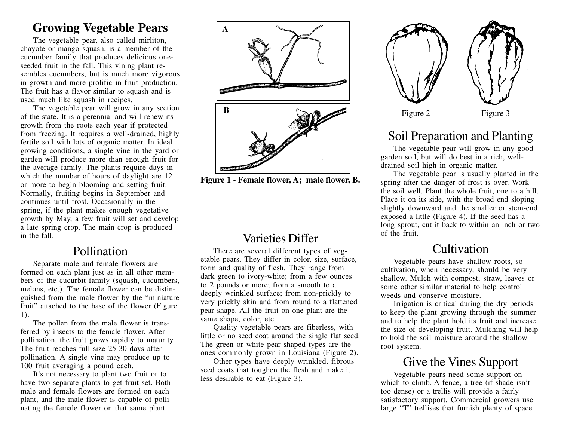## **Growing Vegetable Pears**

The vegetable pear, also called mirliton, chayote or mango squash, is a member of the cucumber family that produces delicious oneseeded fruit in the fall. This vining plant resembles cucumbers, but is much more vigorous in growth and more prolific in fruit production. The fruit has a flavor similar to squash and is used much like squash in recipes.

The vegetable pear will grow in any section of the state. It is a perennial and will renew its growth from the roots each year if protected from freezing. It requires a well-drained, highly fertile soil with lots of organic matter. In ideal growing conditions, a single vine in the yard or garden will produce more than enough fruit for the average family. The plants require days in which the number of hours of daylight are 12 or more to begin blooming and setting fruit. Normally, fruiting begins in September and continues until frost. Occasionally in the spring, if the plant makes enough vegetative growth by May, a few fruit will set and develop a late spring crop. The main crop is produced in the fall.

### Pollination

Separate male and female flowers are formed on each plant just as in all other members of the cucurbit family (squash, cucumbers, melons, etc.). The female flower can be distinguished from the male flower by the "miniature fruit" attached to the base of the flower (Figure 1).

The pollen from the male flower is transferred by insects to the female flower. After pollination, the fruit grows rapidly to maturity. The fruit reaches full size 25-30 days after pollination. A single vine may produce up to 100 fruit averaging a pound each.

It's not necessary to plant two fruit or to have two separate plants to get fruit set. Both male and female flowers are formed on each plant, and the male flower is capable of pollinating the female flower on that same plant.



**Figure 1 - Female flower, A; male flower, B.**

### Varieties Differ

There are several different types of vegetable pears. They differ in color, size, surface, form and quality of flesh. They range from dark green to ivory-white; from a few ounces to 2 pounds or more; from a smooth to a deeply wrinkled surface; from non-prickly to very prickly skin and from round to a flattened pear shape. All the fruit on one plant are the same shape, color, etc.

Quality vegetable pears are fiberless, with little or no seed coat around the single flat seed. The green or white pear-shaped types are the ones commonly grown in Louisiana (Figure 2).

Other types have deeply wrinkled, fibrous seed coats that toughen the flesh and make it less desirable to eat (Figure 3).



# Soil Preparation and Planting

The vegetable pear will grow in any good garden soil, but will do best in a rich, welldrained soil high in organic matter.

The vegetable pear is usually planted in the spring after the danger of frost is over. Work the soil well. Plant the whole fruit, one to a hill. Place it on its side, with the broad end sloping slightly downward and the smaller or stem-end exposed a little (Figure 4). If the seed has a long sprout, cut it back to within an inch or two of the fruit.

#### Cultivation

Vegetable pears have shallow roots, so cultivation, when necessary, should be very shallow. Mulch with compost, straw, leaves or some other similar material to help control weeds and conserve moisture.

Irrigation is critical during the dry periods to keep the plant growing through the summer and to help the plant hold its fruit and increase the size of developing fruit. Mulching will help to hold the soil moisture around the shallow root system.

### Give the Vines Support

Vegetable pears need some support on which to climb. A fence, a tree (if shade isn't too dense) or a trellis will provide a fairly satisfactory support. Commercial growers use large "T" trellises that furnish plenty of space